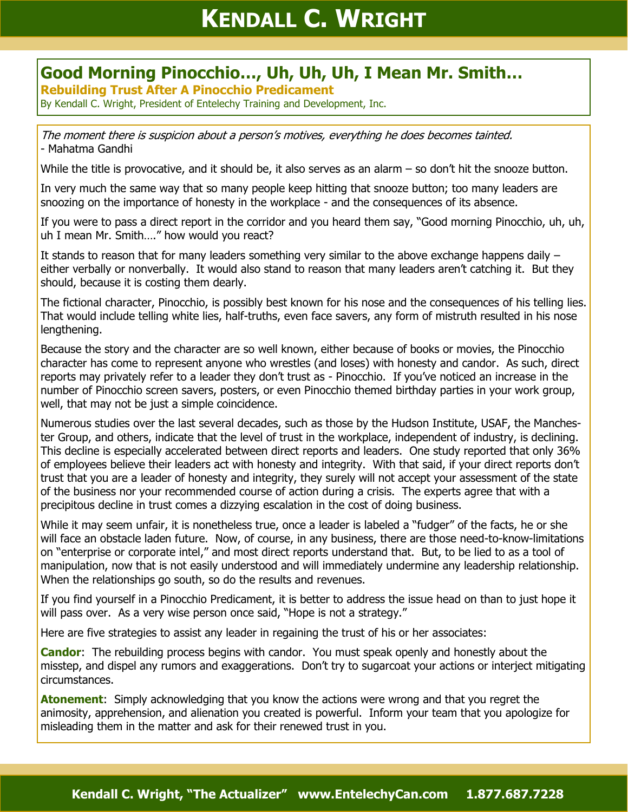## **KENDALL C. WRIGHT**

## **Good Morning Pinocchio…, Uh, Uh, Uh, I Mean Mr. Smith…**

**Rebuilding Trust After A Pinocchio Predicament**

By Kendall C. Wright, President of Entelechy Training and Development, Inc.

The moment there is suspicion about a person's motives, everything he does becomes tainted. - Mahatma Gandhi

While the title is provocative, and it should be, it also serves as an alarm – so don't hit the snooze button.

In very much the same way that so many people keep hitting that snooze button; too many leaders are snoozing on the importance of honesty in the workplace - and the consequences of its absence.

If you were to pass a direct report in the corridor and you heard them say, "Good morning Pinocchio, uh, uh, uh I mean Mr. Smith…." how would you react?

It stands to reason that for many leaders something very similar to the above exchange happens daily  $$ either verbally or nonverbally. It would also stand to reason that many leaders aren't catching it. But they should, because it is costing them dearly.

The fictional character, Pinocchio, is possibly best known for his nose and the consequences of his telling lies. That would include telling white lies, half-truths, even face savers, any form of mistruth resulted in his nose lengthening.

Because the story and the character are so well known, either because of books or movies, the Pinocchio character has come to represent anyone who wrestles (and loses) with honesty and candor. As such, direct reports may privately refer to a leader they don't trust as - Pinocchio. If you've noticed an increase in the number of Pinocchio screen savers, posters, or even Pinocchio themed birthday parties in your work group, well, that may not be just a simple coincidence.

Numerous studies over the last several decades, such as those by the Hudson Institute, USAF, the Manchester Group, and others, indicate that the level of trust in the workplace, independent of industry, is declining. This decline is especially accelerated between direct reports and leaders. One study reported that only 36% of employees believe their leaders act with honesty and integrity. With that said, if your direct reports don't trust that you are a leader of honesty and integrity, they surely will not accept your assessment of the state of the business nor your recommended course of action during a crisis. The experts agree that with a precipitous decline in trust comes a dizzying escalation in the cost of doing business.

While it may seem unfair, it is nonetheless true, once a leader is labeled a "fudger" of the facts, he or she will face an obstacle laden future. Now, of course, in any business, there are those need-to-know-limitations on "enterprise or corporate intel," and most direct reports understand that. But, to be lied to as a tool of manipulation, now that is not easily understood and will immediately undermine any leadership relationship. When the relationships go south, so do the results and revenues.

If you find yourself in a Pinocchio Predicament, it is better to address the issue head on than to just hope it will pass over. As a very wise person once said, "Hope is not a strategy."

Here are five strategies to assist any leader in regaining the trust of his or her associates:

**Candor**: The rebuilding process begins with candor. You must speak openly and honestly about the misstep, and dispel any rumors and exaggerations. Don't try to sugarcoat your actions or interject mitigating circumstances.

**Atonement**: Simply acknowledging that you know the actions were wrong and that you regret the animosity, apprehension, and alienation you created is powerful. Inform your team that you apologize for misleading them in the matter and ask for their renewed trust in you.